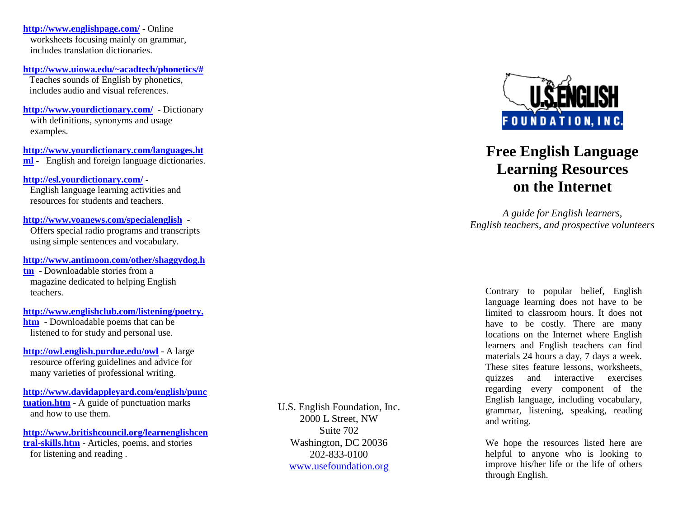**http://www.englishpage.com/** - Online worksheets focusing mainly on grammar, includes translation dictionaries.

**http://www.uiowa.edu/~acadtech/phonetics/#**Teaches sounds of English by phonetics, includes audio and visual references.

**http://www.yourdictionary.com/** - Dictionary with definitions, synonyms and usage examples.

**http://www.yourdictionary.com/languages.ht ml -** English and foreign language dictionaries.

**http://esl.yourdictionary.com/ -**  English language learning activities and resources for students and teachers.

**http://www.voanews.com/specialenglish** - Offers special radio programs and transcripts using simple sentences and vocabulary.

**http://www.antimoon.com/other/shaggydog.h**

**tm** - Downloadable stories from a magazine dedicated to helping English teachers.

**http://www.englishclub.com/listening/poetry.htm** - Downloadable poems that can be listened to for study and personal use.

**http://owl.english.purdue.edu/owl** - A large resource offering guidelines and advice for many varieties of professional writing.

**http://www.davidappleyard.com/english/punctuation.htm** - A guide of punctuation marks<br>and how to use them and how to use them.

**http://www.britishcouncil.org/learnenglishcentral-skills.htm** - Articles, poems, and stories for listening and reading .

U.S. English Foundation, Inc. 2000 L Street, NW Suite 702 Washington, DC 20036 202-833-0100 www.usefoundation.org



## **Free English Language Learning Resources on the Internet**

*A guide for English learners, English teachers, and prospective volunteers* 

Contrary to popular belief, English language learning does not have to be limited to classroom hours. It does not have to be costly. There are many locations on the Internet where English learners and English teachers can find materials 24 hours a day, 7 days a week. These sites feature lessons, worksheets, quizzes and interactive exercises regarding every component of the English language, including vocabulary, grammar, listening, speaking, reading and writing.

We hope the resources listed here are helpful to anyone who is looking to improve his/her life or the life of others through English.